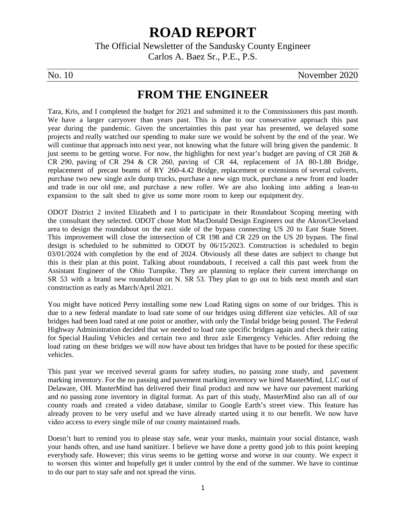## **ROAD REPORT**

The Official Newsletter of the Sandusky County Engineer Carlos A. Baez Sr., P.E., P.S.

No. 10 November 2020

## **FROM THE ENGINEER**

Tara, Kris, and I completed the budget for 2021 and submitted it to the Commissioners this past month. We have a larger carryover than years past. This is due to our conservative approach this past year during the pandemic. Given the uncertainties this past year has presented, we delayed some projects and really watched our spending to make sure we would be solvent by the end of the year. We will continue that approach into next year, not knowing what the future will bring given the pandemic. It just seems to be getting worse. For now, the highlights for next year's budget are paving of CR 268 & CR 290, paving of CR 294 & CR 260, paving of CR 44, replacement of JA 80-1.88 Bridge, replacement of precast beams of RY 260-4.42 Bridge, replacement or extensions of several culverts, purchase two new single axle dump trucks, purchase a new sign truck, purchase a new front end loader and trade in our old one, and purchase a new roller. We are also looking into adding a lean-to expansion to the salt shed to give us some more room to keep our equipment dry.

ODOT District 2 invited Elizabeth and I to participate in their Roundabout Scoping meeting with the consultant they selected. ODOT chose Mott MacDonald Design Engineers out the Akron/Cleveland area to design the roundabout on the east side of the bypass connecting US 20 to East State Street. This improvement will close the intersection of CR 198 and CR 229 on the US 20 bypass. The final design is scheduled to be submitted to ODOT by 06/15/2023. Construction is scheduled to begin 03/01/2024 with completion by the end of 2024. Obviously all these dates are subject to change but this is their plan at this point. Talking about roundabouts, I received a call this past week from the Assistant Engineer of the Ohio Turnpike. They are planning to replace their current interchange on SR 53 with a brand new roundabout on N. SR 53. They plan to go out to bids next month and start construction as early as March/April 2021.

You might have noticed Perry installing some new Load Rating signs on some of our bridges. This is due to a new federal mandate to load rate some of our bridges using different size vehicles. All of our bridges had been load rated at one point or another, with only the Tindal bridge being posted. The Federal Highway Administration decided that we needed to load rate specific bridges again and check their rating for Special Hauling Vehicles and certain two and three axle Emergency Vehicles. After redoing the load rating on these bridges we will now have about ten bridges that have to be posted for these specific vehicles.

This past year we received several grants for safety studies, no passing zone study, and pavement marking inventory. For the no passing and pavement marking inventory we hired MasterMind, LLC out of Delaware, OH. MasterMind has delivered their final product and now we have our pavement marking and no passing zone inventory in digital format. As part of this study, MasterMind also ran all of our county roads and created a video database, similar to Google Earth's street view. This feature has already proven to be very useful and we have already started using it to our benefit. We now have video access to every single mile of our county maintained roads.

Doesn't hurt to remind you to please stay safe, wear your masks, maintain your social distance, wash your hands often, and use hand sanitizer. I believe we have done a pretty good job to this point keeping everybody safe. However; this virus seems to be getting worse and worse in our county. We expect it to worsen this winter and hopefully get it under control by the end of the summer. We have to continue to do our part to stay safe and not spread the virus.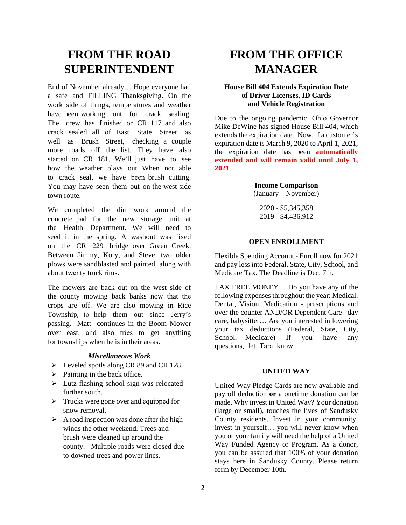## **FROM THE ROAD SUPERINTENDENT**

End of November already… Hope everyone had a safe and FILLING Thanksgiving. On the work side of things, temperatures and weather have been working out for crack sealing. The crew has finished on CR 117 and also crack sealed all of East State Street as well as Brush Street, checking a couple more roads off the list. They have also started on CR 181. We'll just have to see how the weather plays out. When not able to crack seal, we have been brush cutting. You may have seen them out on the west side town route.

We completed the dirt work around the concrete pad for the new storage unit at the Health Department. We will need to seed it in the spring. A washout was fixed on the CR 229 bridge over Green Creek. Between Jimmy, Kory, and Steve, two older plows were sandblasted and painted, along with about twenty truck rims.

The mowers are back out on the west side of the county mowing back banks now that the crops are off. We are also mowing in Rice Township, to help them out since Jerry's passing. Matt continues in the Boom Mower over east, and also tries to get anything for townships when he is in their areas.

#### *Miscellaneous Work*

- $\triangleright$  Leveled spoils along CR 89 and CR 128.
- $\triangleright$  Painting in the back office.
- Lutz flashing school sign was relocated further south.
- $\triangleright$  Trucks were gone over and equipped for snow removal.
- $\triangleright$  A road inspection was done after the high winds the other weekend. Trees and brush were cleaned up around the county. Multiple roads were closed due to downed trees and power lines.

## **FROM THE OFFICE MANAGER**

#### **House Bill 404 Extends Expiration Date of Driver Licenses, ID Cards and Vehicle Registration**

Due to the ongoing pandemic, Ohio Governor Mike DeWine has signed House Bill 404, which extends the expiration date. Now, if a customer's expiration date is March 9, 2020 to April 1, 2021, the expiration date has been **automatically extended and will remain valid until July 1, 2021**.

#### **Income Comparison** (January – November)

2020 - \$5,345,358 2019 - \$4,436,912

#### **OPEN ENROLLMENT**

Flexible Spending Account - Enroll now for 2021 and pay less into Federal, State, City, School, and Medicare Tax. The Deadline is Dec. 7th.

TAX FREE MONEY… Do you have any of the following expenses throughout the year: Medical, Dental, Vision, Medication - prescriptions and over the counter AND/OR Dependent Care –day care, babysitter… Are you interested in lowering your tax deductions (Federal, State, City, School, Medicare) If you have any questions, let Tara know.

#### **UNITED WAY**

United Way Pledge Cards are now available and payroll deduction **or** a onetime donation can be made. Why invest in United Way? Your donation (large or small), touches the lives of Sandusky County residents. Invest in your community, invest in yourself… you will never know when you or your family will need the help of a United Way Funded Agency or Program. As a donor, you can be assured that 100% of your donation stays here in Sandusky County. Please return form by December 10th.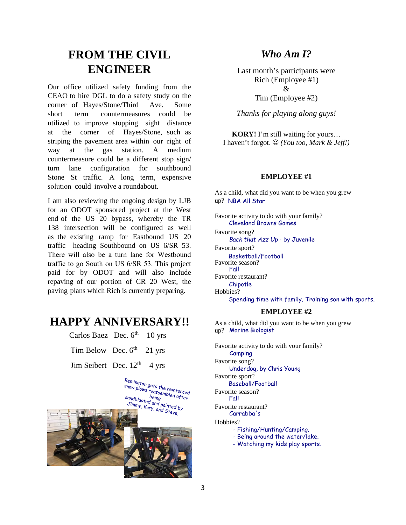## **FROM THE CIVIL ENGINEER**

Our office utilized safety funding from the CEAO to hire DGL to do a safety study on the corner of Hayes/Stone/Third Ave. Some short term countermeasures could be utilized to improve stopping sight distance at the corner of Hayes/Stone, such as striping the pavement area within our right of way at the gas station. A medium countermeasure could be a different stop sign/ turn lane configuration for southbound Stone St traffic. A long term, expensive solution could involve a roundabout.

I am also reviewing the ongoing design by LJB for an ODOT sponsored project at the West end of the US 20 bypass, whereby the TR 138 intersection will be configured as well as the existing ramp for Eastbound US 20 traffic heading Southbound on US 6/SR 53. There will also be a turn lane for Westbound traffic to go South on US 6/SR 53. This project paid for by ODOT and will also include repaving of our portion of CR 20 West, the paving plans which Rich is currently preparing.

### **HAPPY ANNIVERSARY!!**

Carlos Baez Dec.  $6<sup>th</sup>$  10 yrs

Tim Below Dec.  $6<sup>th</sup>$  21 yrs

Jim Seibert Dec.  $12<sup>th</sup>$  4 yrs



#### *Who Am I?*

Last month's participants were Rich (Employee #1)  $\mathcal{R}_{\mathcal{L}}$ Tim (Employee #2)

*Thanks for playing along guys!*

**KORY!** I'm still waiting for yours… I haven't forgot. *(You too, Mark & Jeff!)*

#### **EMPLOYEE #1**

As a child, what did you want to be when you grew up? NBA All Star

Favorite activity to do with your family? Cleveland Browns Games Favorite song?  *Back that Azz Up* - by Juvenile Favorite sport? Basketball/Football Favorite season? Fall Favorite restaurant? Chipotle Hobbies? Spending time with family. Training son with sports.

#### **EMPLOYEE #2**

As a child, what did you want to be when you grew up? Marine Biologist

Favorite activity to do with your family? Favorite song? Favorite sport? Favorite season? Favorite restaurant? Hobbies? Camping Underdog, by Chris Young Baseball/Football Fall Carrabba's - Fishing/Hunting/Camping. - Being around the water/lake. - Watching my kids play sports.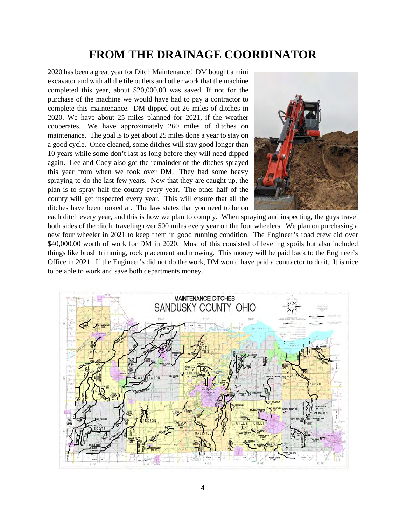## **FROM THE DRAINAGE COORDINATOR**

2020 has been a great year for Ditch Maintenance! DM bought a mini excavator and with all the tile outlets and other work that the machine completed this year, about \$20,000.00 was saved. If not for the purchase of the machine we would have had to pay a contractor to complete this maintenance. DM dipped out 26 miles of ditches in 2020. We have about 25 miles planned for 2021, if the weather cooperates. We have approximately 260 miles of ditches on maintenance. The goal is to get about 25 miles done a year to stay on a good cycle. Once cleaned, some ditches will stay good longer than 10 years while some don't last as long before they will need dipped again. Lee and Cody also got the remainder of the ditches sprayed this year from when we took over DM. They had some heavy spraying to do the last few years. Now that they are caught up, the plan is to spray half the county every year. The other half of the county will get inspected every year. This will ensure that all the ditches have been looked at. The law states that you need to be on



each ditch every year, and this is how we plan to comply. When spraying and inspecting, the guys travel both sides of the ditch, traveling over 500 miles every year on the four wheelers. We plan on purchasing a new four wheeler in 2021 to keep them in good running condition. The Engineer's road crew did over \$40,000.00 worth of work for DM in 2020. Most of this consisted of leveling spoils but also included things like brush trimming, rock placement and mowing. This money will be paid back to the Engineer's Office in 2021. If the Engineer's did not do the work, DM would have paid a contractor to do it. It is nice to be able to work and save both departments money.